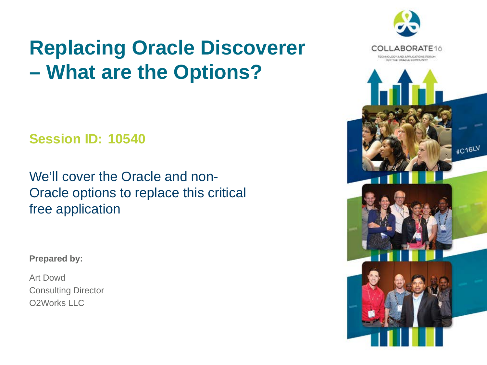### **Replacing Oracle Discoverer – What are the Options?**

**Session ID: 10540**

We'll cover the Oracle and non-Oracle options to replace this critical free application

#### **Prepared by:**

Art Dowd Consulting Director O2Works LLC

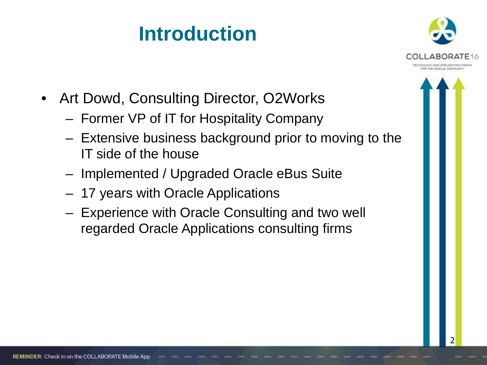### **Introduction**



- Art Dowd, Consulting Director, O2Works
	- Former VP of IT for Hospitality Company
	- Extensive business background prior to moving to the IT side of the house
	- Implemented / Upgraded Oracle eBus Suite
	- 17 years with Oracle Applications
	- Experience with Oracle Consulting and two well regarded Oracle Applications consulting firms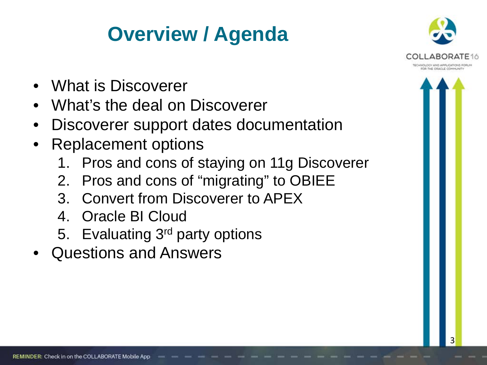### **Overview / Agenda**



- What is Discoverer
- What's the deal on Discoverer
- Discoverer support dates documentation
- Replacement options
	- 1. Pros and cons of staying on 11g Discoverer
	- 2. Pros and cons of "migrating" to OBIEE
	- 3. Convert from Discoverer to APEX
	- 4. Oracle BI Cloud
	- 5. Evaluating 3rd party options
- Questions and Answers

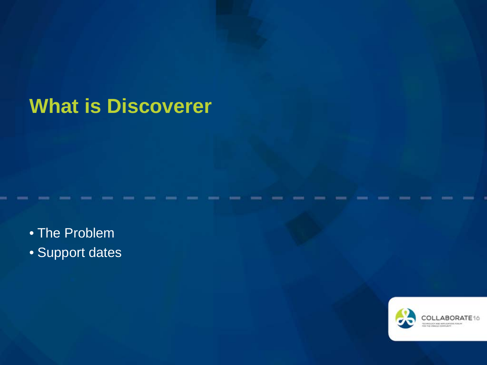### **What is Discoverer**

• The Problem

• Support dates

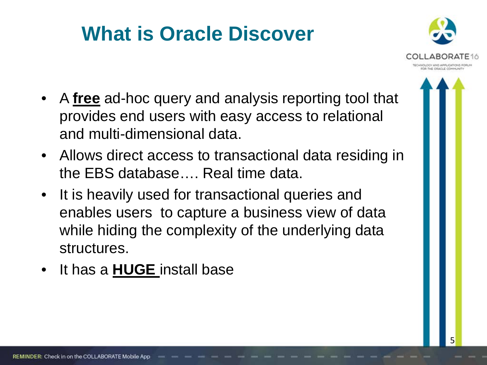### **What is Oracle Discover**



- A **free** ad-hoc query and analysis reporting tool that provides end users with easy access to relational and multi-dimensional data.
- Allows direct access to transactional data residing in the EBS database…. Real time data.
- It is heavily used for transactional queries and enables users to capture a business view of data while hiding the complexity of the underlying data structures.
- It has a **HUGE** install base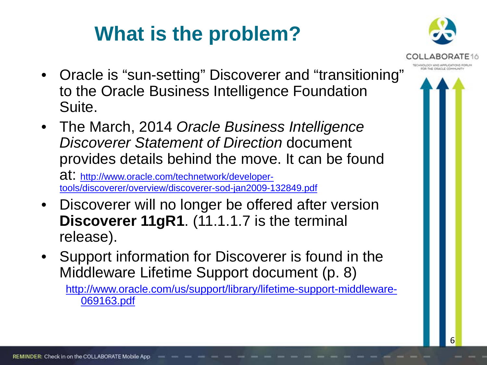### **What is the problem?**



- Oracle is "sun-setting" Discoverer and "transitioning" to the Oracle Business Intelligence Foundation Suite.
- The March, 2014 *Oracle Business Intelligence Discoverer Statement of Direction* document provides details behind the move. It can be found

at: http://www.oracle.com/technetwork/developertools/discoverer/overview/discoverer-sod-jan2009-132849.pdf

- Discoverer will no longer be offered after version **Discoverer 11gR1**. (11.1.1.7 is the terminal release).
- Support information for Discoverer is found in the Middleware Lifetime Support document (p. 8)

[http://www.oracle.com/us/support/library/lifetime-support-middleware-](http://www.oracle.com/us/support/library/lifetime-support-middleware-069163.pdf)[069163.pdf](http://www.oracle.com/us/support/library/lifetime-support-middleware-069163.pdf)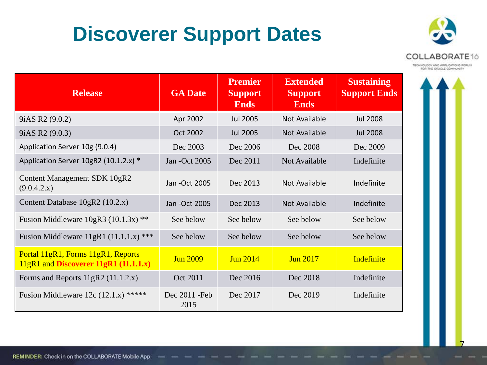### **Discoverer Support Dates**



TECHNOLOGY AND APPLICATIONS FORUM

| <b>Release</b>                                                              | <b>GA Date</b>         | <b>Premier</b><br><b>Support</b><br><b>Ends</b> | <b>Extended</b><br><b>Support</b><br><b>Ends</b> | <b>Sustaining</b><br><b>Support Ends</b> |
|-----------------------------------------------------------------------------|------------------------|-------------------------------------------------|--------------------------------------------------|------------------------------------------|
| 9 <i>iAS R2</i> (9.0.2)                                                     | Apr 2002               | <b>Jul 2005</b>                                 | Not Available                                    | <b>Jul 2008</b>                          |
| 9 <i>iAS R2</i> (9.0.3)                                                     | Oct 2002               | <b>Jul 2005</b>                                 | Not Available                                    | <b>Jul 2008</b>                          |
| Application Server 10g (9.0.4)                                              | Dec 2003               | Dec 2006                                        | Dec 2008                                         | Dec 2009                                 |
| Application Server 10gR2 (10.1.2.x) *                                       | Jan - Oct 2005         | Dec 2011                                        | Not Available                                    | Indefinite                               |
| Content Management SDK 10gR2<br>(9.0.4.2.x)                                 | Jan - Oct 2005         | Dec 2013                                        | <b>Not Available</b>                             | Indefinite                               |
| Content Database 10gR2 (10.2.x)                                             | Jan - Oct 2005         | Dec 2013                                        | <b>Not Available</b>                             | Indefinite                               |
| Fusion Middleware $10gR3 (10.1.3x)$ **                                      | See below              | See below                                       | See below                                        | See below                                |
| Fusion Middleware $11gR1$ (11.1.1.x) ***                                    | See below              | See below                                       | See below                                        | See below                                |
| Portal 11gR1, Forms 11gR1, Reports<br>11gR1 and Discoverer 11gR1 (11.1.1.x) | <b>Jun 2009</b>        | <b>Jun 2014</b>                                 | <b>Jun 2017</b>                                  | Indefinite                               |
| Forms and Reports $11gR2$ (11.1.2.x)                                        | Oct 2011               | Dec 2016                                        | Dec 2018                                         | Indefinite                               |
| Fusion Middleware 12c $(12.1.x)$ *****                                      | Dec 2011 - Feb<br>2015 | Dec 2017                                        | Dec 2019                                         | Indefinite                               |

7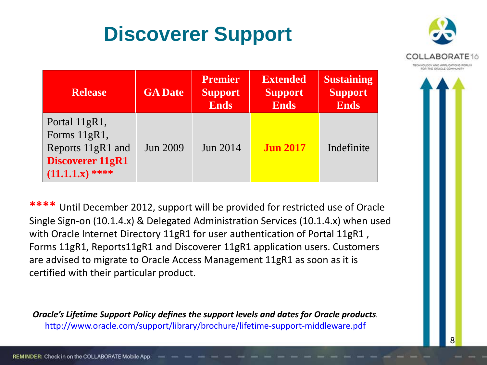### **Discoverer Support**



| <b>Release</b>                                                                                     | <b>GA Date</b> | <b>Premier</b><br><b>Support</b><br><b>Ends</b> | <b>Extended</b><br><b>Support</b><br><b>Ends</b> | <b>Sustaining</b><br><b>Support</b><br><b>Ends</b> |
|----------------------------------------------------------------------------------------------------|----------------|-------------------------------------------------|--------------------------------------------------|----------------------------------------------------|
| Portal 11gR1,<br>Forms 11gR1,<br>Reports 11gR1 and<br><b>Discoverer 11gR1</b><br>$(11.1.1.x)$ **** | Jun 2009       | <b>Jun 2014</b>                                 | <b>Jun 2017</b>                                  | Indefinite                                         |

**\*\*\*\*** Until December 2012, support will be provided for restricted use of Oracle Single Sign-on (10.1.4.x) & Delegated Administration Services (10.1.4.x) when used with Oracle Internet Directory 11gR1 for user authentication of Portal 11gR1, Forms 11gR1, Reports11gR1 and Discoverer 11gR1 application users. Customers are advised to migrate to Oracle Access Management 11gR1 as soon as it is certified with their particular product.

*Oracle's Lifetime Support Policy defines the support levels and dates for Oracle products.* http://www.oracle.com/support/library/brochure/lifetime-support-middleware.pdf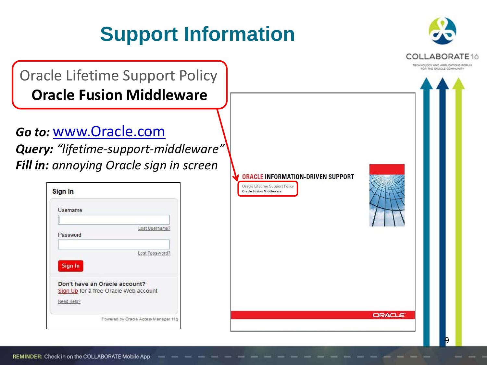



Oracle Lifetime Support Policy **Oracle Fusion Middleware**

*Go to:* www.Oracle.com

*Query: "lifetime-support-middleware" Fill in: annoying Oracle sign in screen*

| Username                              |                |
|---------------------------------------|----------------|
|                                       |                |
|                                       | Lost Username? |
| Password                              |                |
|                                       |                |
|                                       | Lost Password? |
| Sign In                               |                |
|                                       |                |
| Don't have an Oracle account?         |                |
| Sign Up for a free Oracle Web account |                |
|                                       |                |

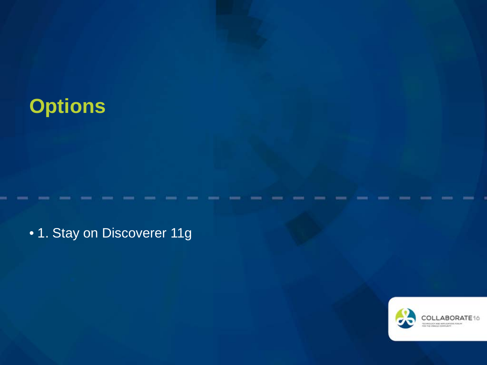### **Options**

• 1. Stay on Discoverer 11g

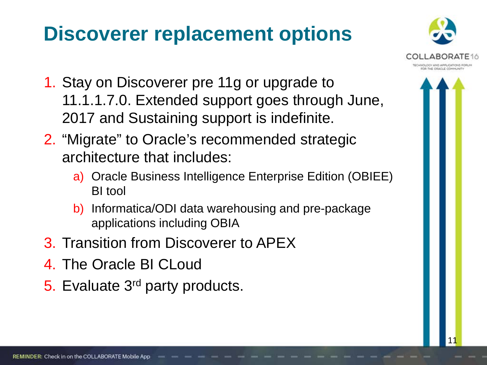### **Discoverer replacement options**



- 1. Stay on Discoverer pre 11g or upgrade to 11.1.1.7.0. Extended support goes through June, 2017 and Sustaining support is indefinite.
- 2. "Migrate" to Oracle's recommended strategic architecture that includes:
	- a) Oracle Business Intelligence Enterprise Edition (OBIEE) BI tool
	- b) Informatica/ODI data warehousing and pre-package applications including OBIA
- 3. Transition from Discoverer to APEX
- 4. The Oracle BI CLoud
- 5. Evaluate 3rd party products.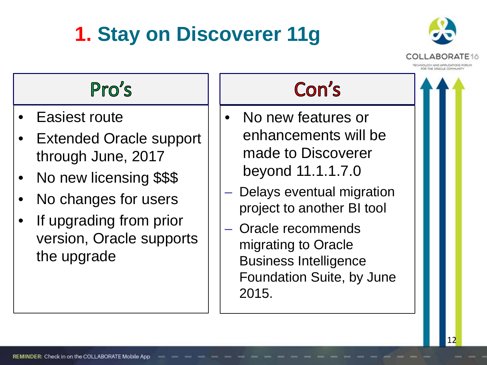## **1. Stay on Discoverer 11g**



### Pro's

- Easiest route
- **Extended Oracle support** through June, 2017
- No new licensing \$\$\$
- No changes for users
- If upgrading from prior version, Oracle supports the upgrade

### Con's

- No new features or enhancements will be made to Discoverer beyond 11.1.1.7.0
- Delays eventual migration project to another BI tool
- Oracle recommends migrating to Oracle Business Intelligence Foundation Suite, by June 2015.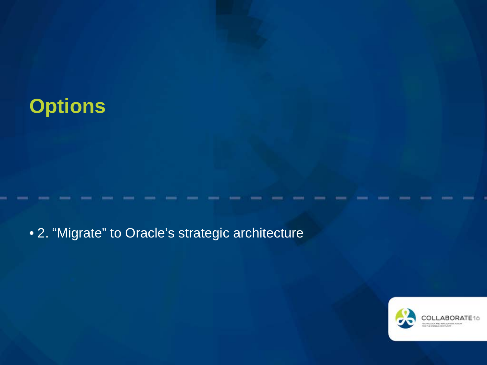### **Options**

• 2. "Migrate" to Oracle's strategic architecture

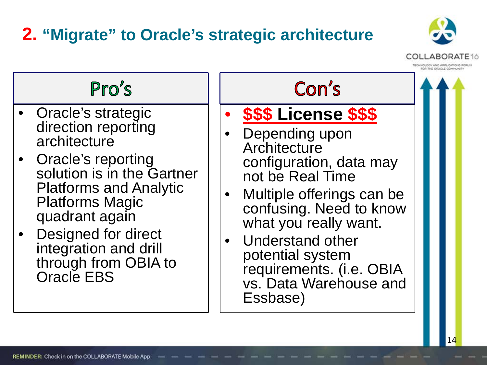### **2. "Migrate" to Oracle's strategic architecture**





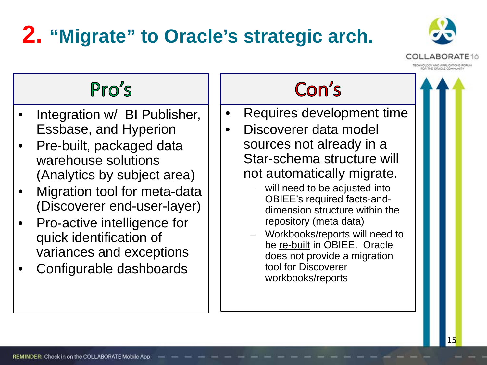# **2. "Migrate" to Oracle's strategic arch.**



### $Pro's$

- Integration w/ BI Publisher, Essbase, and Hyperion
- Pre-built, packaged data warehouse solutions (Analytics by subject area)
- Migration tool for meta-data (Discoverer end-user-layer)
- Pro-active intelligence for quick identification of variances and exceptions
- Configurable dashboards

### Con's

- Requires development time
- Discoverer data model sources not already in a Star-schema structure will not automatically migrate.
	- will need to be adjusted into OBIEE's required facts-anddimension structure within the repository (meta data)
	- Workbooks/reports will need to be re-built in OBIEE. Oracle does not provide a migration tool for Discoverer workbooks/reports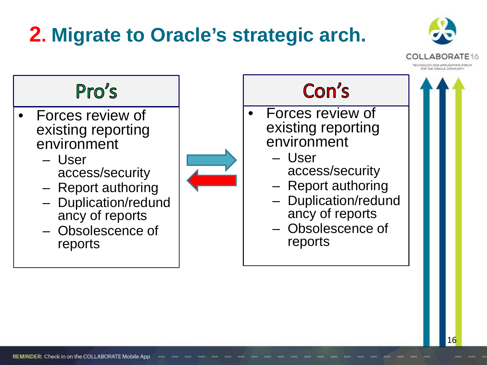### **2. Migrate to Oracle's strategic arch.**



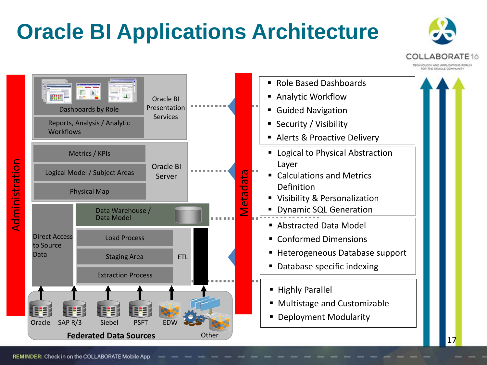# **Oracle BI Applications Architecture**



ECHNOLOGY AND APPLICATIONS FO FOR THE CRACLE COMMUNIT

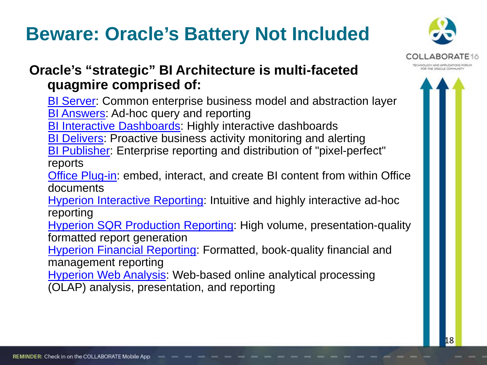### **Beware: Oracle's Battery Not Included**



#### **Oracle's "strategic" BI Architecture is multi-faceted quagmire comprised of:**

[BI Server](http://www.oracle.com/technetwork/middleware/bi-foundation/bi-foundation/enterprise-edition-platform-compone-093074.html): Common enterprise business model and abstraction layer **[BI Answers:](http://www.oracle.com/technetwork/middleware/bi-foundation/bi-foundation/enterprise-edition-platform-compone-093074.html) Ad-hoc query and reporting** 

**[BI Interactive Dashboards:](http://www.oracle.com/technetwork/middleware/bi-foundation/bi-foundation/enterprise-edition-platform-compone-093074.html) Highly interactive dashboards** 

**[BI Delivers](http://www.oracle.com/technetwork/middleware/bi-foundation/bi-foundation/enterprise-edition-platform-compone-093074.html): Proactive business activity monitoring and alerting** 

[BI Publisher](http://www.oracle.com/technetwork/middleware/bi-publisher/overview/index.html): Enterprise reporting and distribution of "pixel-perfect"

reports

[Office Plug-in:](http://www.oracle.com/technetwork/middleware/bi-foundation/bi-foundation/enterprise-edition-platform-compone-093074.html) embed, interact, and create BI content from within Office documents

[Hyperion Interactive Reporting:](http://www.oracle.com/technetwork/middleware/bi-foundation/index-101307.html) Intuitive and highly interactive ad-hoc reporting

**[Hyperion SQR Production Reporting](http://www.oracle.com/technetwork/middleware/bi-foundation/sqr-production-reporting-085742.html): High volume, presentation-quality** formatted report generation

[Hyperion Financial Reporting](http://www.oracle.com/technetwork/middleware/bi-foundation/financial-reporting-095356.html): Formatted, book-quality financial and management reporting

[Hyperion Web Analysis](http://www.oracle.com/technetwork/middleware/bi-foundation/web-analysis-086981.html): Web-based online analytical processing (OLAP) analysis, presentation, and reporting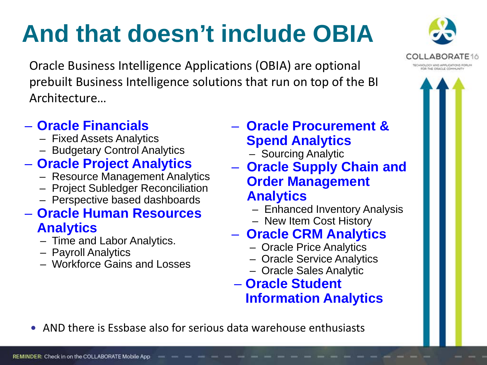# **And that doesn't include OBIA**

Oracle Business Intelligence Applications (OBIA) are optional prebuilt Business Intelligence solutions that run on top of the BI Architecture…

#### – **Oracle Financials**

- Fixed Assets Analytics
- Budgetary Control Analytics

#### – **Oracle Project Analytics**

- Resource Management Analytics
- Project Subledger Reconciliation
- Perspective based dashboards

#### – **Oracle Human Resources Analytics**

- Time and Labor Analytics.
- Payroll Analytics
- Workforce Gains and Losses

#### – **Oracle Procurement & Spend Analytics**

- Sourcing Analytic
- **Oracle Supply Chain and Order Management Analytics** 
	- Enhanced Inventory Analysis
	- New Item Cost History

#### – **Oracle CRM Analytics**

- Oracle Price Analytics
- Oracle Service Analytics
- Oracle Sales Analytic

#### – **Oracle Student Information Analytics**

AND there is Essbase also for serious data warehouse enthusiasts

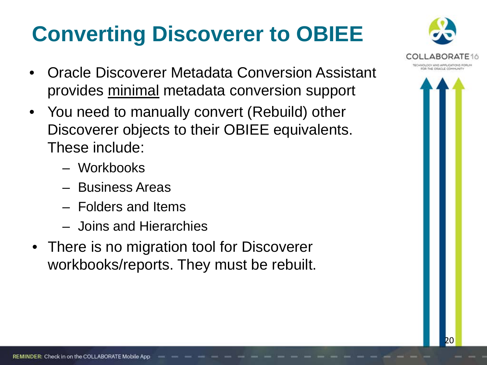# **Converting Discoverer to OBIEE**

- Oracle Discoverer Metadata Conversion Assistant provides minimal metadata conversion support
- You need to manually convert (Rebuild) other Discoverer objects to their OBIEE equivalents. These include:
	- Workbooks
	- Business Areas
	- Folders and Items
	- Joins and Hierarchies
- There is no migration tool for Discoverer workbooks/reports. They must be rebuilt.



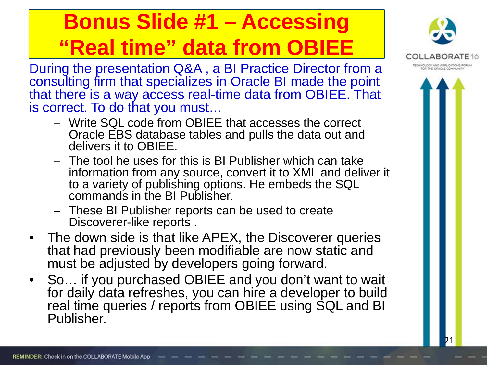# **Bonus Slide #1 – Accessing "Real time" data from OBIEE**

During the presentation Q&A , a BI Practice Director from a consulting firm that specializes in Oracle BI made the point that there is a way access real-time data from OBIEE. That is correct. To do that you must…

- Write SQL code from OBIEE that accesses the correct Oracle EBS database tables and pulls the data out and delivers it to OBIEE.
- The tool he uses for this is BI Publisher which can take information from any source, convert it to XML and deliver it to a variety of publishing options. He embeds the SQL commands in the BI Publisher.
- These BI Publisher reports can be used to create Discoverer-like reports .
- The down side is that like APEX, the Discoverer queries that had previously been modifiable are now static and must be adjusted by developers going forward.
- So… if you purchased OBIEE and you don't want to wait for daily data refreshes, you can hire a developer to build real time queries / reports from OBIEE using SQL and BI Publisher.

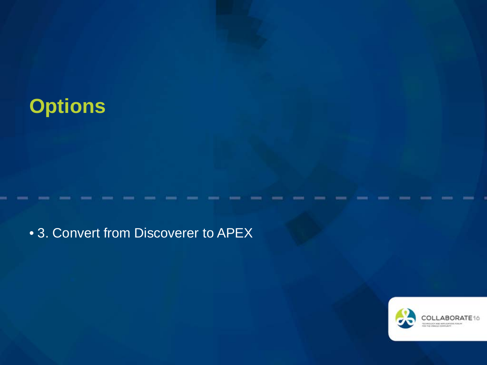### **Options**

### • 3. Convert from Discoverer to APEX

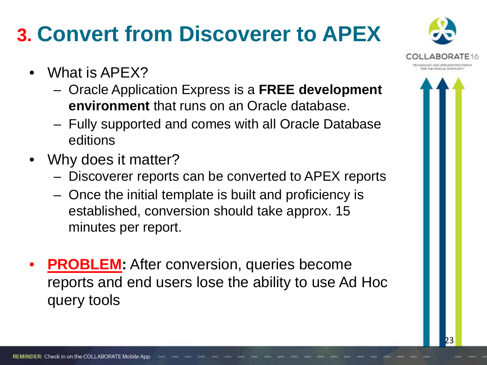# **3. Convert from Discoverer to APEX**

- What is APEX?
	- Oracle Application Express is a **FREE development environment** that runs on an Oracle database.
	- Fully supported and comes with all Oracle Database editions
- Why does it matter?
	- Discoverer reports can be converted to APEX reports
	- Once the initial template is built and proficiency is established, conversion should take approx. 15 minutes per report.
- **PROBLEM:** After conversion, queries become reports and end users lose the ability to use Ad Hoc query tools

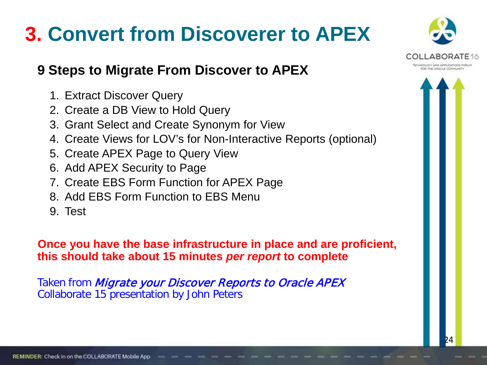### **3. Convert from Discoverer to APEX**

#### **9 Steps to Migrate From Discover to APEX**

- 1. Extract Discover Query
- 2. Create a DB View to Hold Query
- 3. Grant Select and Create Synonym for View
- 4. Create Views for LOV's for Non-Interactive Reports (optional)
- 5. Create APEX Page to Query View
- 6. Add APEX Security to Page
- 7. Create EBS Form Function for APEX Page
- 8. Add EBS Form Function to EBS Menu
- 9. Test

**Once you have the base infrastructure in place and are proficient, this should take about 15 minutes** *per report* **to complete**

Taken from *Migrate your Discover Reports to Oracle APEX* Collaborate 15 presentation by John Peters

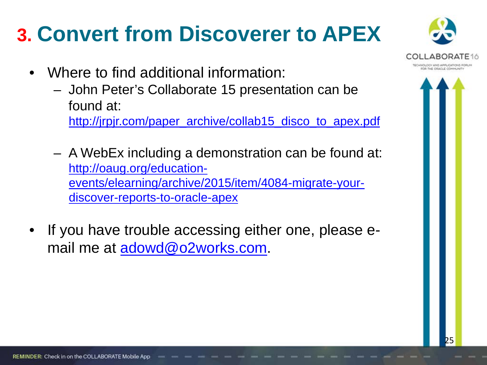# **3. Convert from Discoverer to APEX**

- Where to find additional information:
	- John Peter's Collaborate 15 presentation can be found at:

[http://jrpjr.com/paper\\_archive/collab15\\_disco\\_to\\_apex.pdf](http://jrpjr.com/paper_archive/collab15_disco_to_apex.pdf)

- A WebEx including a demonstration can be found at: [http://oaug.org/education](http://oaug.org/education-events/elearning/archive/2015/item/4084-migrate-your-discover-reports-to-oracle-apex)[events/elearning/archive/2015/item/4084-migrate-your](http://oaug.org/education-events/elearning/archive/2015/item/4084-migrate-your-discover-reports-to-oracle-apex)[discover-reports-to-oracle-apex](http://oaug.org/education-events/elearning/archive/2015/item/4084-migrate-your-discover-reports-to-oracle-apex)
- If you have trouble accessing either one, please email me at [adowd@o2works.com.](mailto:adowd@o2works.com)

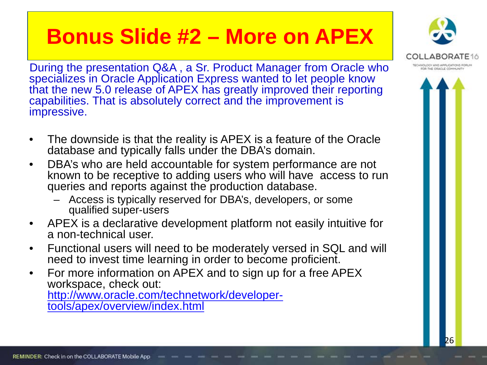### **Bonus Slide #2 – More on APEX**

During the presentation Q&A , a Sr. Product Manager from Oracle who specializes in Oracle Application Express wanted to let people know that the new 5.0 release of APEX has greatly improved their reporting capabilities. That is absolutely correct and the improvement is impressive.

- The downside is that the reality is APEX is a feature of the Oracle database and typically falls under the DBA's domain.
- DBA's who are held accountable for system performance are not known to be receptive to adding users who will have access to run queries and reports against the production database.
	- Access is typically reserved for DBA's, developers, or some qualified super-users
- APEX is a declarative development platform not easily intuitive for a non-technical user.
- Functional users will need to be moderately versed in SQL and will need to invest time learning in order to become proficient.
- For more information on APEX and to sign up for a free APEX workspace, check out: [http://www.oracle.com/technetwork/developer-](http://www.oracle.com/technetwork/developer-tools/apex/overview/index.html)<br>[tools/apex/overview/index.html](http://www.oracle.com/technetwork/developer-tools/apex/overview/index.html)

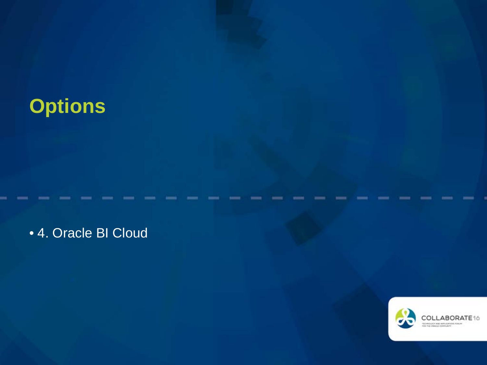### **Options**

• 4. Oracle BI Cloud

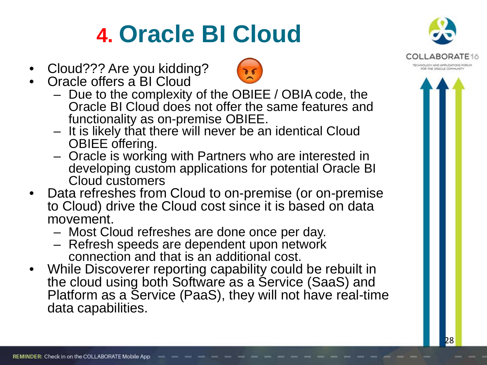# **4. Oracle BI Cloud**

- Cloud??? Are you kidding?
- Oracle offers a BI Cloud
	- Due to the complexity of the OBIEE / OBIA code, the Oracle BI Cloud does not offer the same features and
	- functionality as on-premise OBIEE.<br>- It is likely that there will never be an identical Cloud<br>OBIEE offering.
	- Oracle is working with Partners who are interested in developing custom applications for potential Oracle BI Cloud customers
- Data refreshes from Cloud to on-premise (or on-premise to Cloud) drive the Cloud cost since it is based on data movement.<br>- Most Cloud refreshes are done once per day.
	-
	- Refresh speeds are dependent upon network connection and that is an additional cost.
- While Discoverer reporting capability could be rebuilt in the cloud using both Software as a Service (SaaS) and Platform as a Service (PaaS), they will not have real-time data capabilities.



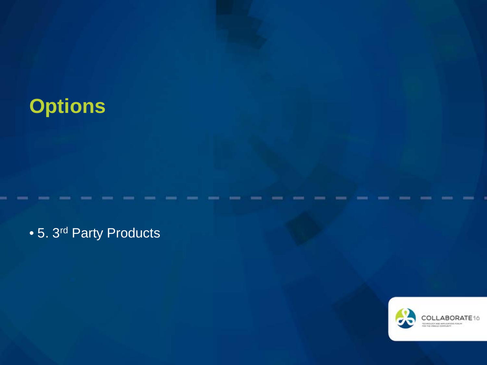### **Options**

• 5. 3<sup>rd</sup> Party Products

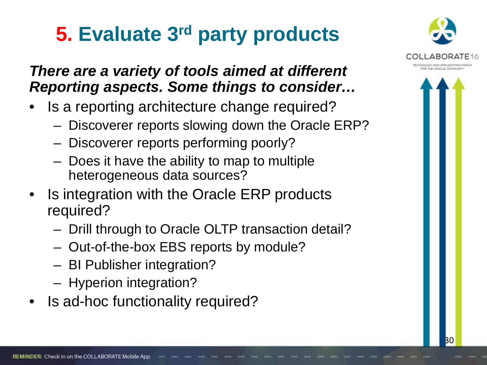## **5. Evaluate 3rd party products**

### *There are a variety of tools aimed at different Reporting aspects. Some things to consider…*

- Is a reporting architecture change required?
	- Discoverer reports slowing down the Oracle ERP?
	- Discoverer reports performing poorly?
	- Does it have the ability to map to multiple heterogeneous data sources?
- Is integration with the Oracle ERP products required?
	- Drill through to Oracle OLTP transaction detail?
	- Out-of-the-box EBS reports by module?
	- BI Publisher integration?
	- Hyperion integration?
- Is ad-hoc functionality required?

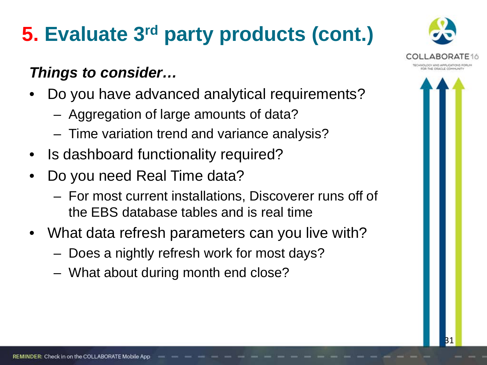# **5. Evaluate 3rd party products (cont.)**

### *Things to consider…*

- Do you have advanced analytical requirements?
	- Aggregation of large amounts of data?
	- Time variation trend and variance analysis?
- Is dashboard functionality required?
- Do you need Real Time data?
	- For most current installations, Discoverer runs off of the EBS database tables and is real time
- What data refresh parameters can you live with?
	- Does a nightly refresh work for most days?
	- What about during month end close?

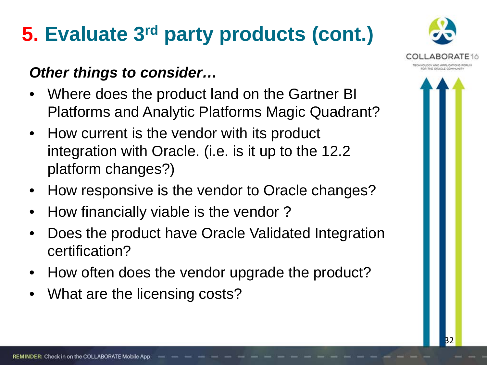# **5. Evaluate 3rd party products (cont.)**

### *Other things to consider…*

- Where does the product land on the Gartner BI Platforms and Analytic Platforms Magic Quadrant?
- How current is the vendor with its product integration with Oracle. (i.e. is it up to the 12.2 platform changes?)
- How responsive is the vendor to Oracle changes?
- How financially viable is the vendor ?
- Does the product have Oracle Validated Integration certification?
- How often does the vendor upgrade the product?
- What are the licensing costs?

REMINDER: Check in on the COLLABORATE Mobile App

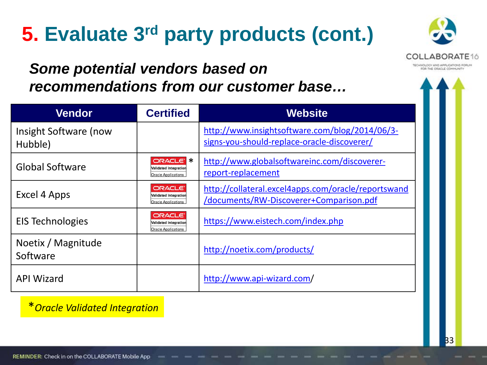## **5. Evaluate 3rd party products (cont.)**



### *Some potential vendors based on recommendations from our customer base…*

| <b>Vendor</b>                    | <b>Certified</b>                                                              | <b>Website</b>                                                                                 |
|----------------------------------|-------------------------------------------------------------------------------|------------------------------------------------------------------------------------------------|
| Insight Software (now<br>Hubble) |                                                                               | http://www.insightsoftware.com/blog/2014/06/3-<br>signs-you-should-replace-oracle-discoverer/  |
| <b>Global Software</b>           | <b>ORACLE K</b><br><b>Validated Integration</b><br><b>Oracle Applications</b> | http://www.globalsoftwareinc.com/discoverer-<br>report-replacement                             |
| Excel 4 Apps                     | <b>ORACLE</b><br><b>Validated Integration</b><br><b>Oracle Applications</b>   | http://collateral.excel4apps.com/oracle/reportswand<br>/documents/RW-Discoverer+Comparison.pdf |
| <b>EIS Technologies</b>          | <b>ORACLE</b><br><b>Validated Integration</b><br><b>Oracle Applications</b>   | https://www.eistech.com/index.php                                                              |
| Noetix / Magnitude<br>Software   |                                                                               | http://noetix.com/products/                                                                    |
| <b>API Wizard</b>                |                                                                               | http://www.api-wizard.com/                                                                     |

\**Oracle Validated Integration*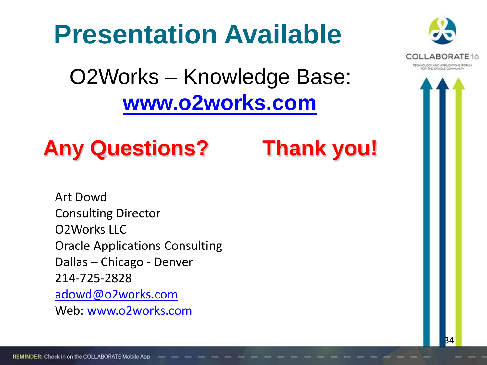# **Presentation Available**



## O2Works – Knowledge Base: **[www.o2works.com](http://www.o2works.com/)**



Art Dowd Consulting Director O2Works LLC Oracle Applications Consulting Dallas – Chicago - Denver 214-725-2828 [adowd@o2works.com](mailto:adowd@o2works.com) Web: [www.o2works.com](http://www.o2works.com/)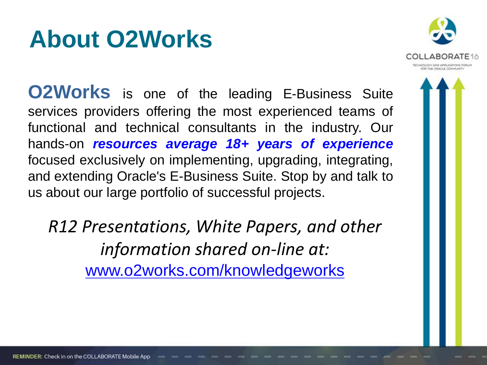# **About O2Works**



**O2Works** is one of the leading E-Business Suite services providers offering the most experienced teams of functional and technical consultants in the industry. Our hands-on *resources average 18+ years of experience* focused exclusively on implementing, upgrading, integrating, and extending Oracle's E-Business Suite. Stop by and talk to us about our large portfolio of successful projects.

*R12 Presentations, White Papers, and other information shared on-line at:*  www.o2works.com/knowledgeworks